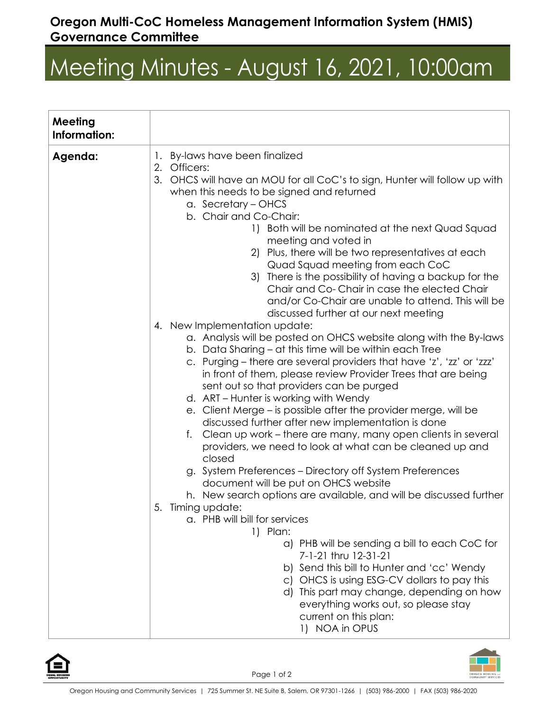## **Oregon Multi-CoC Homeless Management Information System (HMIS) Governance Committee**

## Meeting Minutes - August 16, 2021, 10:00am

| <b>Meeting</b><br>Information: |                                                                                                                                                                                                                                                                                                                                                                                                                                                                                                                                                                                                                                                                                                                                                                                                                                                                                                                                                                                                                                                                                                                                                                                                                                                                                                                                                                                                                                                                                                                                                                                                                                                                                                                                                                                                                                        |
|--------------------------------|----------------------------------------------------------------------------------------------------------------------------------------------------------------------------------------------------------------------------------------------------------------------------------------------------------------------------------------------------------------------------------------------------------------------------------------------------------------------------------------------------------------------------------------------------------------------------------------------------------------------------------------------------------------------------------------------------------------------------------------------------------------------------------------------------------------------------------------------------------------------------------------------------------------------------------------------------------------------------------------------------------------------------------------------------------------------------------------------------------------------------------------------------------------------------------------------------------------------------------------------------------------------------------------------------------------------------------------------------------------------------------------------------------------------------------------------------------------------------------------------------------------------------------------------------------------------------------------------------------------------------------------------------------------------------------------------------------------------------------------------------------------------------------------------------------------------------------------|
| Agenda:                        | 1. By-laws have been finalized<br>2. Officers:<br>3.<br>OHCS will have an MOU for all CoC's to sign, Hunter will follow up with<br>when this needs to be signed and returned<br>a. Secretary - OHCS<br>b. Chair and Co-Chair:<br>1) Both will be nominated at the next Quad Squad<br>meeting and voted in<br>2) Plus, there will be two representatives at each<br>Quad Squad meeting from each CoC<br>3) There is the possibility of having a backup for the<br>Chair and Co-Chair in case the elected Chair<br>and/or Co-Chair are unable to attend. This will be<br>discussed further at our next meeting<br>4. New Implementation update:<br>a. Analysis will be posted on OHCS website along with the By-laws<br>b. Data Sharing – at this time will be within each Tree<br>c. Purging – there are several providers that have 'z', 'zz' or 'zzz'<br>in front of them, please review Provider Trees that are being<br>sent out so that providers can be purged<br>d. ART – Hunter is working with Wendy<br>e. Client Merge – is possible after the provider merge, will be<br>discussed further after new implementation is done<br>Clean up work – there are many, many open clients in several<br>f.<br>providers, we need to look at what can be cleaned up and<br>closed<br>g. System Preferences - Directory off System Preferences<br>document will be put on OHCS website<br>h. New search options are available, and will be discussed further<br>5.<br>Timing update:<br>a. PHB will bill for services<br>1) Plan:<br>a) PHB will be sending a bill to each CoC for<br>7-1-21 thru 12-31-21<br>b) Send this bill to Hunter and 'cc' Wendy<br>c) OHCS is using ESG-CV dollars to pay this<br>d) This part may change, depending on how<br>everything works out, so please stay<br>current on this plan:<br>1) NOA in OPUS |